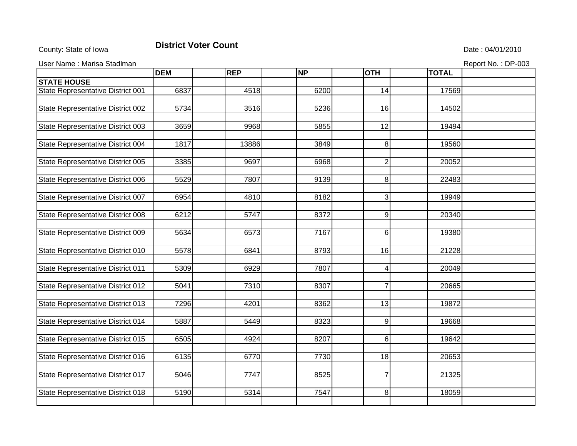## County: State of Iowa **District Voter Count** Description of the United State : 04/01/2010

| User Name: Marisa Stadlman<br>Report No.: DP-003 |            |            |           |                |              |  |  |  |
|--------------------------------------------------|------------|------------|-----------|----------------|--------------|--|--|--|
|                                                  | <b>DEM</b> | <b>REP</b> | <b>NP</b> | <b>OTH</b>     | <b>TOTAL</b> |  |  |  |
| <b>STATE HOUSE</b>                               |            |            |           |                |              |  |  |  |
| State Representative District 001                | 6837       | 4518       | 6200      | 14             | 17569        |  |  |  |
|                                                  |            |            |           |                |              |  |  |  |
| State Representative District 002                | 5734       | 3516       | 5236      | 16             | 14502        |  |  |  |
|                                                  |            |            |           |                |              |  |  |  |
| State Representative District 003                | 3659       | 9968       | 5855      | 12             | 19494        |  |  |  |
|                                                  |            |            |           |                |              |  |  |  |
| State Representative District 004                | 1817       | 13886      | 3849      | 8              | 19560        |  |  |  |
|                                                  |            |            |           |                |              |  |  |  |
| State Representative District 005                | 3385       | 9697       | 6968      | $\overline{2}$ | 20052        |  |  |  |
| State Representative District 006                | 5529       | 7807       | 9139      | 8              | 22483        |  |  |  |
|                                                  |            |            |           |                |              |  |  |  |
| State Representative District 007                | 6954       | 4810       | 8182      | 3              | 19949        |  |  |  |
|                                                  |            |            |           |                |              |  |  |  |
| State Representative District 008                | 6212       | 5747       | 8372      | 9              | 20340        |  |  |  |
|                                                  |            |            |           |                |              |  |  |  |
| State Representative District 009                | 5634       | 6573       | 7167      | 6              | 19380        |  |  |  |
|                                                  |            |            |           |                |              |  |  |  |
| State Representative District 010                | 5578       | 6841       | 8793      | 16             | 21228        |  |  |  |
|                                                  |            |            |           |                |              |  |  |  |
| <b>State Representative District 011</b>         | 5309       | 6929       | 7807      | 4              | 20049        |  |  |  |
|                                                  |            |            |           |                |              |  |  |  |
| State Representative District 012                | 5041       | 7310       | 8307      | $\overline{7}$ | 20665        |  |  |  |
| State Representative District 013                | 7296       | 4201       | 8362      | 13             | 19872        |  |  |  |
|                                                  |            |            |           |                |              |  |  |  |
| State Representative District 014                | 5887       | 5449       | 8323      | 9              | 19668        |  |  |  |
|                                                  |            |            |           |                |              |  |  |  |
| State Representative District 015                | 6505       | 4924       | 8207      | 6              | 19642        |  |  |  |
|                                                  |            |            |           |                |              |  |  |  |

State Representative District 016 6135 6770 7730 18 18 20653

State Representative District 017 | 5046 | 7747 | 8525 | 7 | 21325

State Representative District 018 5190 5314 7547 7547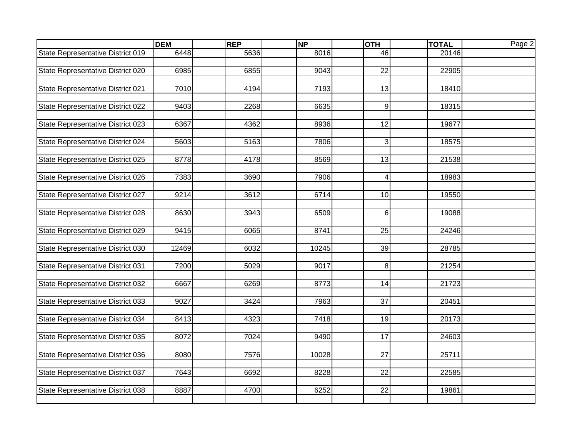|                                   | <b>DEM</b> | <b>REP</b> | <b>NP</b> | <b>OTH</b>      | <b>TOTAL</b> | Page 2 |
|-----------------------------------|------------|------------|-----------|-----------------|--------------|--------|
| State Representative District 019 | 6448       | 5636       | 8016      | 46              | 20146        |        |
|                                   |            |            |           |                 |              |        |
| State Representative District 020 | 6985       | 6855       | 9043      | 22              | 22905        |        |
|                                   |            |            |           |                 |              |        |
| State Representative District 021 | 7010       | 4194       | 7193      | 13              | 18410        |        |
|                                   |            |            |           |                 |              |        |
| State Representative District 022 | 9403       | 2268       | 6635      | $\overline{9}$  | 18315        |        |
| State Representative District 023 | 6367       | 4362       | 8936      | 12              | 19677        |        |
|                                   |            |            |           |                 |              |        |
| State Representative District 024 | 5603       | 5163       | 7806      | $\overline{3}$  | 18575        |        |
|                                   |            |            |           |                 |              |        |
| State Representative District 025 | 8778       | 4178       | 8569      | 13              | 21538        |        |
|                                   |            |            |           |                 |              |        |
| State Representative District 026 | 7383       | 3690       | 7906      | 4               | 18983        |        |
|                                   |            |            |           |                 |              |        |
| State Representative District 027 | 9214       | 3612       | 6714      | 10              | 19550        |        |
|                                   |            |            |           |                 |              |        |
| State Representative District 028 | 8630       | 3943       | 6509      | 6 <sup>1</sup>  | 19088        |        |
| State Representative District 029 | 9415       | 6065       | 8741      | 25              | 24246        |        |
|                                   |            |            |           |                 |              |        |
| State Representative District 030 | 12469      | 6032       | 10245     | 39              | 28785        |        |
|                                   |            |            |           |                 |              |        |
| State Representative District 031 | 7200       | 5029       | 9017      | 8 <sup>1</sup>  | 21254        |        |
|                                   |            |            |           |                 |              |        |
| State Representative District 032 | 6667       | 6269       | 8773      | 14              | 21723        |        |
|                                   |            |            |           |                 |              |        |
| State Representative District 033 | 9027       | 3424       | 7963      | $\overline{37}$ | 20451        |        |
|                                   | 8413       | 4323       | 7418      | 19              | 20173        |        |
| State Representative District 034 |            |            |           |                 |              |        |
| State Representative District 035 | 8072       | 7024       | 9490      | 17              | 24603        |        |
|                                   |            |            |           |                 |              |        |
| State Representative District 036 | 8080       | 7576       | 10028     | $\overline{27}$ | 25711        |        |
|                                   |            |            |           |                 |              |        |
| State Representative District 037 | 7643       | 6692       | 8228      | 22              | 22585        |        |
|                                   |            |            |           |                 |              |        |
| State Representative District 038 | 8887       | 4700       | 6252      | $\overline{22}$ | 19861        |        |
|                                   |            |            |           |                 |              |        |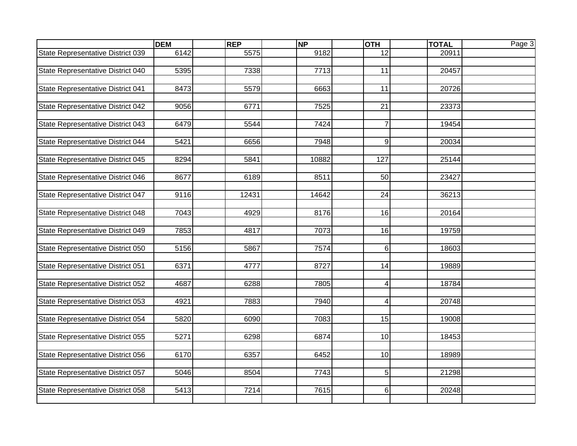|                                   | <b>DEM</b> | <b>REP</b> | <b>NP</b> | <b>OTH</b>      | <b>TOTAL</b> | Page 3 |
|-----------------------------------|------------|------------|-----------|-----------------|--------------|--------|
| State Representative District 039 | 6142       | 5575       | 9182      | $\overline{12}$ | 20911        |        |
|                                   |            |            |           |                 |              |        |
| State Representative District 040 | 5395       | 7338       | 7713      | 11              | 20457        |        |
|                                   |            |            |           |                 |              |        |
| State Representative District 041 | 8473       | 5579       | 6663      | 11              | 20726        |        |
|                                   |            |            |           |                 |              |        |
| State Representative District 042 | 9056       | 6771       | 7525      | 21              | 23373        |        |
|                                   | 6479       |            | 7424      | $\overline{7}$  |              |        |
| State Representative District 043 |            | 5544       |           |                 | 19454        |        |
| State Representative District 044 | 5421       | 6656       | 7948      | $\overline{9}$  | 20034        |        |
|                                   |            |            |           |                 |              |        |
| State Representative District 045 | 8294       | 5841       | 10882     | 127             | 25144        |        |
|                                   |            |            |           |                 |              |        |
| State Representative District 046 | 8677       | 6189       | 8511      | 50              | 23427        |        |
|                                   |            |            |           |                 |              |        |
| State Representative District 047 | 9116       | 12431      | 14642     | 24              | 36213        |        |
|                                   |            |            |           |                 |              |        |
| State Representative District 048 | 7043       | 4929       | 8176      | 16              | 20164        |        |
|                                   |            |            |           |                 |              |        |
| State Representative District 049 | 7853       | 4817       | 7073      | 16              | 19759        |        |
|                                   |            |            |           |                 |              |        |
| State Representative District 050 | 5156       | 5867       | 7574      | 6 <sup>1</sup>  | 18603        |        |
| State Representative District 051 | 6371       | 4777       | 8727      | 14              | 19889        |        |
|                                   |            |            |           |                 |              |        |
| State Representative District 052 | 4687       | 6288       | 7805      | $\vert 4 \vert$ | 18784        |        |
|                                   |            |            |           |                 |              |        |
| State Representative District 053 | 4921       | 7883       | 7940      | 4               | 20748        |        |
|                                   |            |            |           |                 |              |        |
| State Representative District 054 | 5820       | 6090       | 7083      | 15              | 19008        |        |
|                                   |            |            |           |                 |              |        |
| State Representative District 055 | 5271       | 6298       | 6874      | 10              | 18453        |        |
|                                   |            |            |           |                 |              |        |
| State Representative District 056 | 6170       | 6357       | 6452      | 10              | 18989        |        |
|                                   |            |            |           |                 |              |        |
| State Representative District 057 | 5046       | 8504       | 7743      | 5 <sup>1</sup>  | 21298        |        |
|                                   |            |            |           |                 |              |        |
| State Representative District 058 | 5413       | 7214       | 7615      | $6 \mid$        | 20248        |        |
|                                   |            |            |           |                 |              |        |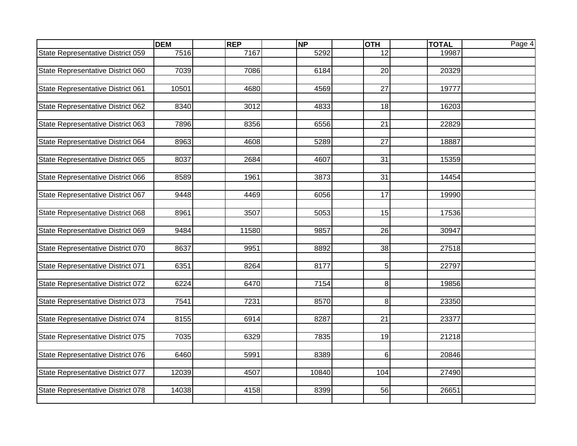|                                   | <b>DEM</b> | <b>REP</b> | <b>NP</b> | <b>OTH</b>     | <b>TOTAL</b> | Page 4 |
|-----------------------------------|------------|------------|-----------|----------------|--------------|--------|
| State Representative District 059 | 7516       | 7167       | 5292      | 12             | 19987        |        |
|                                   |            |            |           |                |              |        |
| State Representative District 060 | 7039       | 7086       | 6184      | 20             | 20329        |        |
|                                   |            |            |           |                |              |        |
| State Representative District 061 | 10501      | 4680       | 4569      | 27             | 19777        |        |
|                                   |            |            |           |                |              |        |
| State Representative District 062 | 8340       | 3012       | 4833      | 18             | 16203        |        |
| State Representative District 063 | 7896       | 8356       | 6556      | 21             | 22829        |        |
|                                   |            |            |           |                |              |        |
| State Representative District 064 | 8963       | 4608       | 5289      | 27             | 18887        |        |
|                                   |            |            |           |                |              |        |
| State Representative District 065 | 8037       | 2684       | 4607      | 31             | 15359        |        |
|                                   |            |            |           |                |              |        |
| State Representative District 066 | 8589       | 1961       | 3873      | 31             | 14454        |        |
|                                   |            |            |           |                |              |        |
| State Representative District 067 | 9448       | 4469       | 6056      | 17             | 19990        |        |
|                                   |            |            |           |                |              |        |
| State Representative District 068 | 8961       | 3507       | 5053      | 15             | 17536        |        |
|                                   |            |            |           |                |              |        |
| State Representative District 069 | 9484       | 11580      | 9857      | 26             | 30947        |        |
|                                   | 8637       | 9951       | 8892      | 38             | 27518        |        |
| State Representative District 070 |            |            |           |                |              |        |
| State Representative District 071 | 6351       | 8264       | 8177      | 5 <sup>1</sup> | 22797        |        |
|                                   |            |            |           |                |              |        |
| State Representative District 072 | 6224       | 6470       | 7154      | 8 <sup>1</sup> | 19856        |        |
|                                   |            |            |           |                |              |        |
| State Representative District 073 | 7541       | 7231       | 8570      | 8 <sup>1</sup> | 23350        |        |
|                                   |            |            |           |                |              |        |
| State Representative District 074 | 8155       | 6914       | 8287      | 21             | 23377        |        |
|                                   |            |            |           |                |              |        |
| State Representative District 075 | 7035       | 6329       | 7835      | 19             | 21218        |        |
|                                   |            |            |           |                |              |        |
| State Representative District 076 | 6460       | 5991       | 8389      | 6 <sup>1</sup> | 20846        |        |
|                                   |            |            |           |                |              |        |
| State Representative District 077 | 12039      | 4507       | 10840     | 104            | 27490        |        |
| State Representative District 078 | 14038      | 4158       | 8399      | 56             | 26651        |        |
|                                   |            |            |           |                |              |        |
|                                   |            |            |           |                |              |        |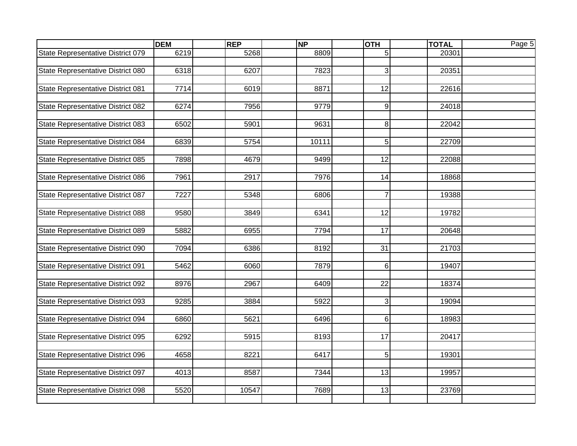|                                   | <b>DEM</b> | <b>REP</b> | <b>NP</b> | <b>OTH</b>      | <b>TOTAL</b> | Page 5 |
|-----------------------------------|------------|------------|-----------|-----------------|--------------|--------|
| State Representative District 079 | 6219       | 5268       | 8809      | 5 <sup>1</sup>  | 20301        |        |
|                                   |            |            |           |                 |              |        |
| State Representative District 080 | 6318       | 6207       | 7823      | $\overline{3}$  | 20351        |        |
|                                   |            |            |           |                 |              |        |
| State Representative District 081 | 7714       | 6019       | 8871      | 12              | 22616        |        |
|                                   |            |            |           |                 |              |        |
| State Representative District 082 | 6274       | 7956       | 9779      | $\overline{9}$  | 24018        |        |
|                                   |            |            |           | 8 <sup>1</sup>  | 22042        |        |
| State Representative District 083 | 6502       | 5901       | 9631      |                 |              |        |
| State Representative District 084 | 6839       | 5754       | 10111     | 5 <sup>1</sup>  | 22709        |        |
|                                   |            |            |           |                 |              |        |
| State Representative District 085 | 7898       | 4679       | 9499      | $\overline{12}$ | 22088        |        |
|                                   |            |            |           |                 |              |        |
| State Representative District 086 | 7961       | 2917       | 7976      | 14              | 18868        |        |
|                                   |            |            |           |                 |              |        |
| State Representative District 087 | 7227       | 5348       | 6806      | $\overline{7}$  | 19388        |        |
|                                   |            |            |           |                 |              |        |
| State Representative District 088 | 9580       | 3849       | 6341      | $\overline{12}$ | 19782        |        |
|                                   |            |            |           |                 |              |        |
| State Representative District 089 | 5882       | 6955       | 7794      | $\overline{17}$ | 20648        |        |
|                                   |            |            |           |                 |              |        |
| State Representative District 090 | 7094       | 6386       | 8192      | 31              | 21703        |        |
| State Representative District 091 | 5462       | 6060       | 7879      | $6 \mid$        | 19407        |        |
|                                   |            |            |           |                 |              |        |
| State Representative District 092 | 8976       | 2967       | 6409      | 22              | 18374        |        |
|                                   |            |            |           |                 |              |        |
| State Representative District 093 | 9285       | 3884       | 5922      | $\overline{3}$  | 19094        |        |
|                                   |            |            |           |                 |              |        |
| State Representative District 094 | 6860       | 5621       | 6496      | 6 <sup>1</sup>  | 18983        |        |
|                                   |            |            |           |                 |              |        |
| State Representative District 095 | 6292       | 5915       | 8193      | 17              | 20417        |        |
|                                   |            |            |           |                 |              |        |
| State Representative District 096 | 4658       | 8221       | 6417      | 5 <sup>1</sup>  | 19301        |        |
|                                   |            |            |           |                 |              |        |
| State Representative District 097 | 4013       | 8587       | 7344      | 13              | 19957        |        |
|                                   |            |            |           |                 |              |        |
| State Representative District 098 | 5520       | 10547      | 7689      | 13              | 23769        |        |
|                                   |            |            |           |                 |              |        |